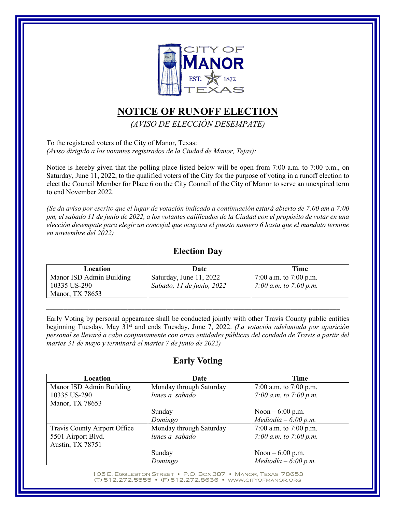

## **NOTICE OF RUNOFF ELECTION**

*(AVISO DE ELECCIÓN DESEMPATE)*

To the registered voters of the City of Manor, Texas: *(Aviso dirigido a los votantes registrados de la Ciudad de Manor, Tejas):*

Notice is hereby given that the polling place listed below will be open from 7:00 a.m. to 7:00 p.m., on Saturday, June 11, 2022, to the qualified voters of the City for the purpose of voting in a runoff election to elect the Council Member for Place 6 on the City Council of the City of Manor to serve an unexpired term to end November 2022.

*(Se da aviso por escrito que el lugar de votación indicado a continuación estará abierto de 7:00 am a 7:00 pm, el sabado 11 de junio de 2022, a los votantes calificados de la Ciudad con el propósito de votar en una elección desempate para elegir un concejal que ocupara el puesto numero 6 hasta que el mandato termine en noviembre del 2022)*

## **Election Day**

| Location                 | Date                      | Time                   |
|--------------------------|---------------------------|------------------------|
| Manor ISD Admin Building | Saturday, June 11, 2022   | 7:00 a.m. to 7:00 p.m. |
| 10335 US-290             | Sabado, 11 de junio, 2022 | 7:00 a.m. to 7:00 p.m. |
| Manor, TX 78653          |                           |                        |

*\_\_\_\_\_\_\_\_\_\_\_\_\_\_\_\_\_\_\_\_\_\_\_\_\_\_\_\_\_\_\_\_\_\_\_\_\_\_\_\_\_\_\_\_\_\_\_\_\_\_\_\_\_\_\_\_\_\_\_\_\_\_\_\_\_\_\_\_\_\_\_\_\_\_\_\_\_\_\_\_\_\_\_*

Early Voting by personal appearance shall be conducted jointly with other Travis County public entities beginning Tuesday, May 31st and ends Tuesday, June 7, 2022. *(La votación adelantada por aparición personal se llevará a cabo conjuntamente con otras entidades públicas del condado de Travis a partir del martes 31 de mayo y terminará el martes 7 de junio de 2022)*

## **Early Voting**

| Location                     | Date                    | Time                   |
|------------------------------|-------------------------|------------------------|
| Manor ISD Admin Building     | Monday through Saturday | 7:00 a.m. to 7:00 p.m. |
| 10335 US-290                 | lunes a sabado          | 7:00 a.m. to 7:00 p.m. |
| Manor, TX 78653              |                         |                        |
|                              | Sunday                  | Noon $-6:00$ p.m.      |
|                              | Domingo                 | $Mediodia - 6:00 p.m.$ |
| Travis County Airport Office | Monday through Saturday | 7:00 a.m. to 7:00 p.m. |
| 5501 Airport Blvd.           | lunes a sabado          | 7:00 a.m. to 7:00 p.m. |
| Austin, TX 78751             |                         |                        |
|                              | Sunday                  | Noon $-6:00$ p.m.      |
|                              | Domingo                 | Mediodía – 6:00 p.m.   |

105 E. EGGLESTON STREET • P.O. BOX 387 • MANOR, TEXAS 78653 (T) 512.272.5555 • (F) 512.272.8636 • WWW.CITYOFMANOR.ORG